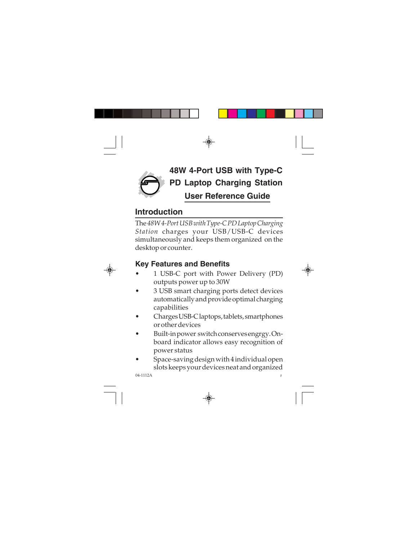

# **48W 4-Port USB with Type-C PD Laptop Charging Station User Reference Guide**

## **Introduction**

The *48W 4-Port USB with Type-C PD Laptop Charging Station* charges your USB/USB-C devices simultaneously and keeps them organized on the desktop or counter.

## **Key Features and Benefits**

- 1 USB-C port with Power Delivery (PD) outputs power up to 30W
- 3 USB smart charging ports detect devices automatically and provide optimal charging capabilities
- Charges USB-C laptops, tablets, smartphones or other devices
- Built-in power switch conserves engrgy. Onboard indicator allows easy recognition of power status
- Space-saving design with 4 individual open slots keeps your devices neat and organized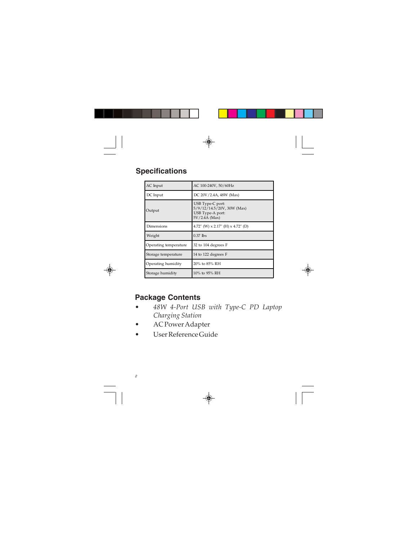## **Specifications**

| AC Input              | AC 100-240V, 50/60Hz                                                                |
|-----------------------|-------------------------------------------------------------------------------------|
| DC Input              | DC 20V/2.4A, 48W (Max)                                                              |
| Output                | USB Type-C port:<br>5/9/12/14.5/20V, 30W (Max)<br>USB Type-A port:<br>5V/2.4A (Max) |
| Dimensions            | 4.72" (W) $\times$ 2.17" (H) $\times$ 4.72" (D)                                     |
| Weight                | $0.37$ Ibs                                                                          |
| Operating temperature | 32 to 104 degrees F                                                                 |
| Storage temperature   | 14 to 122 degrees F                                                                 |
| Operating humidity    | 20% to 85% RH                                                                       |
| Storage humidity      | 10% to 95% RH                                                                       |

#### **Package Contents**

- *48W 4-Port USB with Type-C PD Laptop Charging Station*
- AC Power Adapter
- User Reference Guide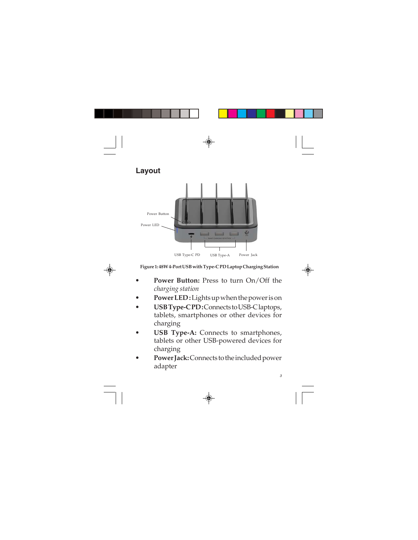### **Layout**



**Figure 1: 48W 4-Port USB with Type-C PD Laptop Charging Station**

- **Power Button:** Press to turn On/Off the *charging station*
- **Power LED :** Lights up when the power is on
- **USB Type-C PD :** Connects to USB-C laptops, tablets, smartphones or other devices for charging
- **USB Type-A:** Connects to smartphones, tablets or other USB-powered devices for charging
- **Power Jack:** Connects to the included power adapter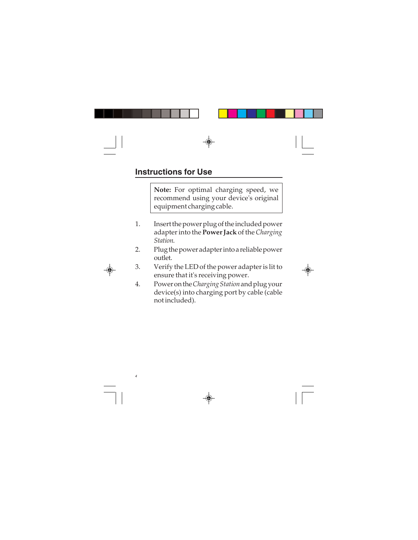### **Instructions for Use**

**Note:** For optimal charging speed, we recommend using your device's original equipment charging cable.

- 1. Insert the power plug of the included power adapter into the **Power Jack** of the *Charging Station*.
- 2. Plug the power adapter into a reliable power outlet.
- 3. Verify the LED of the power adapter is lit to ensure that it's receiving power.
- 4. Power on the *Charging Station* and plug your device(s) into charging port by cable (cable not included).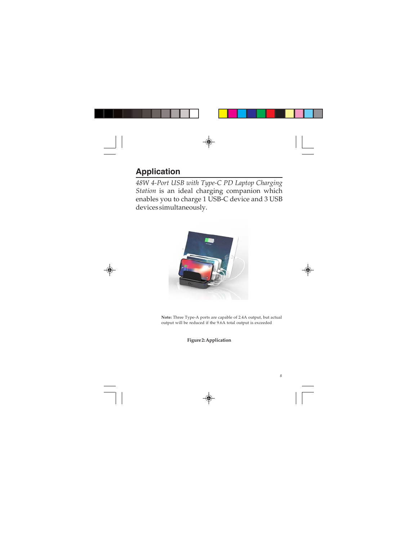## **Application**

*48W 4-Port USB with Type-C PD Laptop Charging Station* is an ideal charging companion which enables you to charge 1 USB-C device and 3 USB devices simultaneously.



**Note:** Three Type-A ports are capable of 2.4A output, but actual output will be reduced if the 9.6A total output is exceeded

**Figure 2: Application**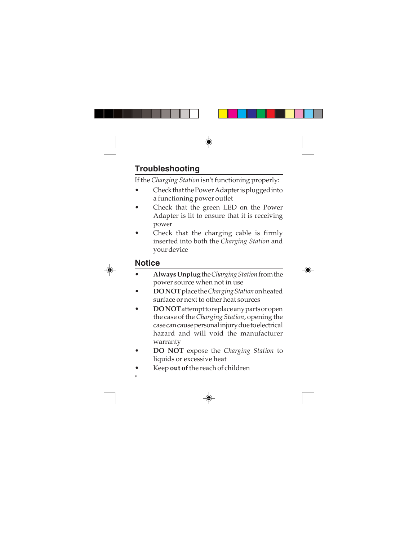## **Troubleshooting**

If the *Charging Station* isn't functioning properly:

- Check that the Power Adapter is plugged into a functioning power outlet
- Check that the green LED on the Power Adapter is lit to ensure that it is receiving power
- Check that the charging cable is firmly inserted into both the *Charging Station* and your device

## **Notice**

- **Always Unplug** the *Charging Station* from the power source when not in use
- **DO NOT** place the *Charging Station* on heated surface or next to other heat sources
- **DO NOT** attempt to replace any parts or open the case of the *Charging Station*, opening the case can cause personal injury due to electrical hazard and will void the manufacturer warranty
- **DO NOT** expose the *Charging Station* to liquids or excessive heat
- Keep **out of** the reach of children

*<sup>6</sup>*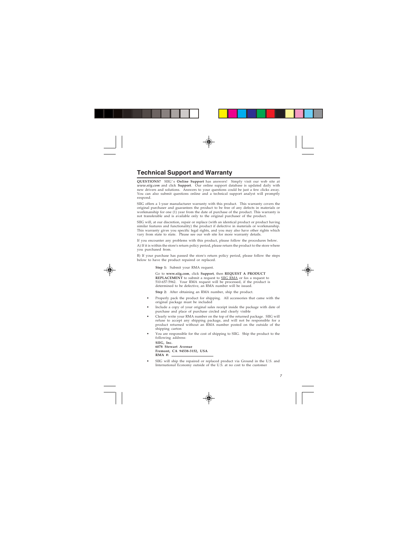#### **Technical Support and Warranty**

**QUESTIONS?** SIIG' s **Online Support** has answers! Simply visit our web site at *www.siig.com* and click **Support**. Our online support database is updated daily with new drivers and solutions. Answers to your questions could be just a few clicks away. You can also submit questions online and a technical support analyst will promptly respond.

SIIG offers a 1-year manufacturer warranty with this product. This warranty covers the original purchaser and guarantees the product to be free of any defects in materials or workmanship for one (1) year from the date of purchase of the product. This warranty is not transferable and is available only to the original purchaser of the product.

SIIG will, at our discretion, repair or replace (with an identical product or product having similar features and functionality) the product if defective in materials or workmanship. This warranty gives you specific legal rights, and you may also have other rights which vary from state to state. Please see our web site for more warranty details.

If you encounter any problems with this product, please follow the procedures below.

A) If it is within the store's return policy period, please return the product to the store where you purchased from.

B) If your purchase has passed the store's return policy period, please follow the steps below to have the product repaired or replaced.

**Step 1:** Submit your RMA request.

Go to **www.siig.com**, click **Support**, then **REQUEST A PRODUCT REPLACEMENT** to submit a request to SIIG RMA or fax a request to 510-657-5962. Your RMA request will be processed, if the product is determined to be defective, an RMA number will be issued.

**Step 2:** After obtaining an RMA number, ship the product.

- Properly pack the product for shipping. All accessories that came with the original package must be included
- Include a copy of your original sales receipt inside the package with date of purchase and place of purchase circled and clearly visible
- Clearly write your RMA number on the top of the returned package. SIIG will refuse to accept any shipping package, and will not be responsible for a product returned without an RMA number posted on the outside of the shipping carton
- You are responsible for the cost of shipping to SIIG. Ship the product to the following address:

```
SIIG, Inc.
6078 Stewart Avenue
Fremont, CA 94538-3152, USA
RMA #:
```
• SIIG will ship the repaired or replaced product via Ground in the U.S. and International Economy outside of the U.S. at no cost to the customer